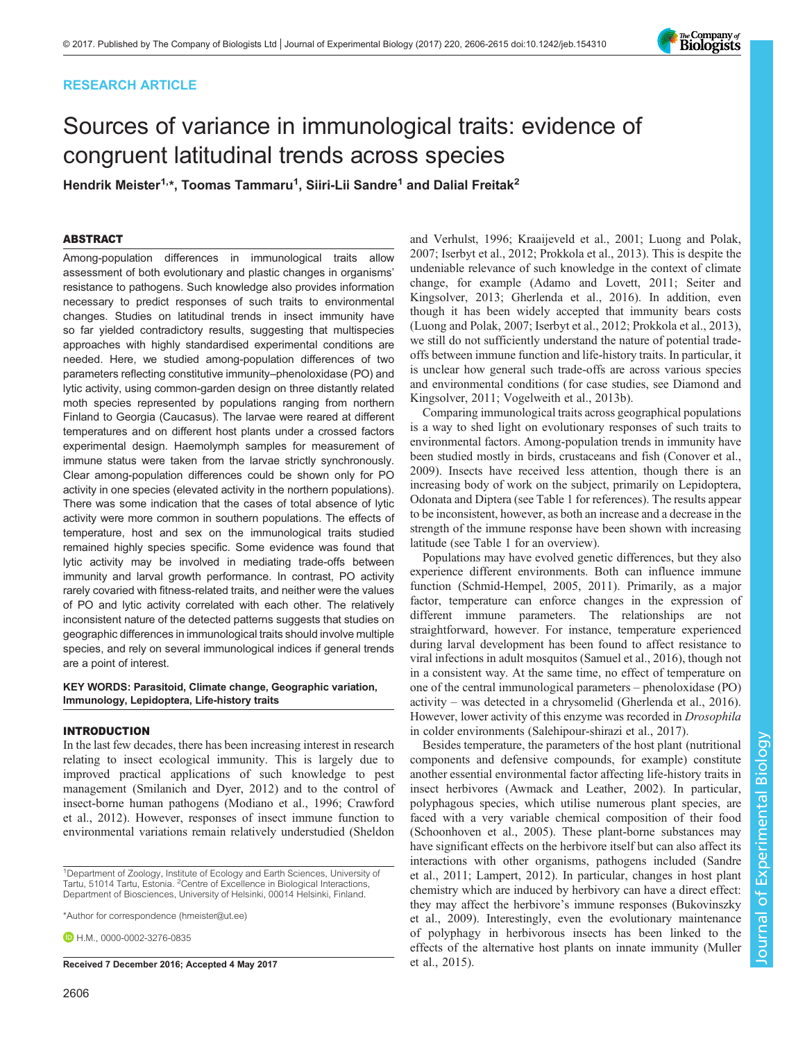# RESEARCH ARTICLE

# Sources of variance in immunological traits: evidence of congruent latitudinal trends across species

Hendrik Meister<sup>1,</sup>\*, Toomas Tammaru<sup>1</sup>, Siiri-Lii Sandre<sup>1</sup> and Dalial Freitak<sup>2</sup>

# ABSTRACT

Among-population differences in immunological traits allow assessment of both evolutionary and plastic changes in organisms' resistance to pathogens. Such knowledge also provides information necessary to predict responses of such traits to environmental changes. Studies on latitudinal trends in insect immunity have so far yielded contradictory results, suggesting that multispecies approaches with highly standardised experimental conditions are needed. Here, we studied among-population differences of two parameters reflecting constitutive immunity–phenoloxidase (PO) and lytic activity, using common-garden design on three distantly related moth species represented by populations ranging from northern Finland to Georgia (Caucasus). The larvae were reared at different temperatures and on different host plants under a crossed factors experimental design. Haemolymph samples for measurement of immune status were taken from the larvae strictly synchronously. Clear among-population differences could be shown only for PO activity in one species (elevated activity in the northern populations). There was some indication that the cases of total absence of lytic activity were more common in southern populations. The effects of temperature, host and sex on the immunological traits studied remained highly species specific. Some evidence was found that lytic activity may be involved in mediating trade-offs between immunity and larval growth performance. In contrast, PO activity rarely covaried with fitness-related traits, and neither were the values of PO and lytic activity correlated with each other. The relatively inconsistent nature of the detected patterns suggests that studies on geographic differences in immunological traits should involve multiple species, and rely on several immunological indices if general trends are a point of interest.

# KEY WORDS: Parasitoid, Climate change, Geographic variation, Immunology, Lepidoptera, Life-history traits

# INTRODUCTION

In the last few decades, there has been increasing interest in research relating to insect ecological immunity. This is largely due to improved practical applications of such knowledge to pest management [\(Smilanich and Dyer, 2012\)](#page-9-0) and to the control of insect-borne human pathogens ([Modiano et al., 1996;](#page-9-0) [Crawford](#page-8-0) [et al., 2012](#page-8-0)). However, responses of insect immune function to environmental variations remain relatively understudied ([Sheldon](#page-9-0)

\*Author for correspondence [\(hmeister@ut.ee\)](mailto:hmeister@ut.ee)

 $\bullet$  H M [0000-0002-3276-0835](http://orcid.org/0000-0002-3276-0835)

Received 7 December 2016; Accepted 4 May 2017 [et al., 2015\)](#page-9-0).

[and Verhulst, 1996](#page-9-0); [Kraaijeveld et al., 2001; Luong and Polak,](#page-9-0) [2007; Iserbyt et al., 2012; Prokkola et al., 2013](#page-9-0)). This is despite the undeniable relevance of such knowledge in the context of climate change, for example [\(Adamo and Lovett, 2011](#page-8-0); [Seiter and](#page-9-0) [Kingsolver, 2013;](#page-9-0) [Gherlenda et al., 2016\)](#page-8-0). In addition, even though it has been widely accepted that immunity bears costs [\(Luong and Polak, 2007](#page-9-0); [Iserbyt et al., 2012; Prokkola et al., 2013\)](#page-9-0), we still do not sufficiently understand the nature of potential tradeoffs between immune function and life-history traits. In particular, it is unclear how general such trade-offs are across various species and environmental conditions (for case studies, see [Diamond and](#page-8-0) [Kingsolver, 2011;](#page-8-0) [Vogelweith et al., 2013b\)](#page-9-0).

Comparing immunological traits across geographical populations is a way to shed light on evolutionary responses of such traits to environmental factors. Among-population trends in immunity have been studied mostly in birds, crustaceans and fish [\(Conover et al.,](#page-8-0) [2009\)](#page-8-0). Insects have received less attention, though there is an increasing body of work on the subject, primarily on Lepidoptera, Odonata and Diptera (see [Table 1](#page-1-0) for references). The results appear to be inconsistent, however, as both an increase and a decrease in the strength of the immune response have been shown with increasing latitude (see [Table 1](#page-1-0) for an overview).

Populations may have evolved genetic differences, but they also experience different environments. Both can influence immune function ([Schmid-Hempel, 2005, 2011](#page-9-0)). Primarily, as a major factor, temperature can enforce changes in the expression of different immune parameters. The relationships are not straightforward, however. For instance, temperature experienced during larval development has been found to affect resistance to viral infections in adult mosquitos [\(Samuel et al., 2016\)](#page-9-0), though not in a consistent way. At the same time, no effect of temperature on one of the central immunological parameters – phenoloxidase (PO) activity – was detected in a chrysomelid ([Gherlenda et al., 2016\)](#page-8-0). However, lower activity of this enzyme was recorded in Drosophila in colder environments ([Salehipour-shirazi et al., 2017\)](#page-9-0).

Besides temperature, the parameters of the host plant (nutritional components and defensive compounds, for example) constitute another essential environmental factor affecting life-history traits in insect herbivores ([Awmack and Leather, 2002](#page-8-0)). In particular, polyphagous species, which utilise numerous plant species, are faced with a very variable chemical composition of their food [\(Schoonhoven et al., 2005\)](#page-9-0). These plant-borne substances may have significant effects on the herbivore itself but can also affect its interactions with other organisms, pathogens included [\(Sandre](#page-9-0) [et al., 2011](#page-9-0); [Lampert, 2012](#page-9-0)). In particular, changes in host plant chemistry which are induced by herbivory can have a direct effect: they may affect the herbivore's immune responses [\(Bukovinszky](#page-8-0) [et al., 2009](#page-8-0)). Interestingly, even the evolutionary maintenance of polyphagy in herbivorous insects has been linked to the effects of the alternative host plants on innate immunity [\(Muller](#page-9-0)



<sup>&</sup>lt;sup>1</sup>Department of Zoology, Institute of Ecology and Earth Sciences, University of Tartu, 51014 Tartu, Estonia. <sup>2</sup> Centre of Excellence in Biological Interactions, Department of Biosciences, University of Helsinki, 00014 Helsinki, Finland.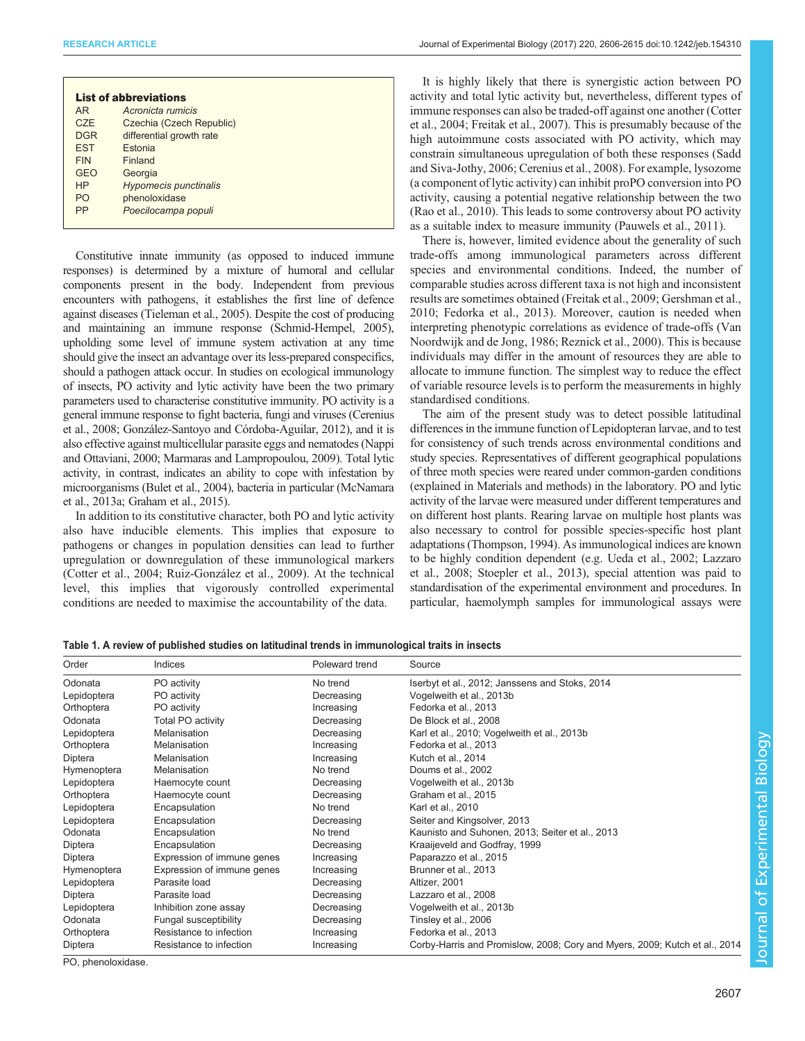<span id="page-1-0"></span>

| <b>List of abbreviations</b> |            |                              |  |  |  |  |  |  |  |  |
|------------------------------|------------|------------------------------|--|--|--|--|--|--|--|--|
|                              | AR.        | Acronicta rumicis            |  |  |  |  |  |  |  |  |
|                              | <b>CZE</b> | Czechia (Czech Republic)     |  |  |  |  |  |  |  |  |
|                              | <b>DGR</b> | differential growth rate     |  |  |  |  |  |  |  |  |
|                              | <b>EST</b> | Estonia                      |  |  |  |  |  |  |  |  |
|                              | <b>FIN</b> | Finland                      |  |  |  |  |  |  |  |  |
|                              | <b>GEO</b> | Georgia                      |  |  |  |  |  |  |  |  |
|                              | <b>HP</b>  | <b>Hypomecis punctinalis</b> |  |  |  |  |  |  |  |  |
|                              | <b>PO</b>  | phenoloxidase                |  |  |  |  |  |  |  |  |
|                              | <b>PP</b>  | Poecilocampa populi          |  |  |  |  |  |  |  |  |
|                              |            |                              |  |  |  |  |  |  |  |  |

Constitutive innate immunity (as opposed to induced immune responses) is determined by a mixture of humoral and cellular components present in the body. Independent from previous encounters with pathogens, it establishes the first line of defence against diseases [\(Tieleman et al., 2005](#page-9-0)). Despite the cost of producing and maintaining an immune response ([Schmid-Hempel, 2005\)](#page-9-0), upholding some level of immune system activation at any time should give the insect an advantage over its less-prepared conspecifics, should a pathogen attack occur. In studies on ecological immunology of insects, PO activity and lytic activity have been the two primary parameters used to characterise constitutive immunity. PO activity is a general immune response to fight bacteria, fungi and viruses [\(Cerenius](#page-8-0) [et al., 2008; González-Santoyo and Córdoba-Aguilar, 2012](#page-8-0)), and it is also effective against multicellular parasite eggs and nematodes ([Nappi](#page-9-0) [and Ottaviani, 2000; Marmaras and Lampropoulou, 2009](#page-9-0)). Total lytic activity, in contrast, indicates an ability to cope with infestation by microorganisms [\(Bulet et al., 2004\)](#page-8-0), bacteria in particular [\(McNamara](#page-9-0) [et al., 2013a;](#page-9-0) [Graham et al., 2015](#page-8-0)).

In addition to its constitutive character, both PO and lytic activity also have inducible elements. This implies that exposure to pathogens or changes in population densities can lead to further upregulation or downregulation of these immunological markers [\(Cotter et al., 2004;](#page-8-0) [Ruiz-González et al., 2009](#page-9-0)). At the technical level, this implies that vigorously controlled experimental conditions are needed to maximise the accountability of the data.

It is highly likely that there is synergistic action between PO activity and total lytic activity but, nevertheless, different types of immune responses can also be traded-off against one another ([Cotter](#page-8-0) [et al., 2004; Freitak et al., 2007\)](#page-8-0). This is presumably because of the high autoimmune costs associated with PO activity, which may constrain simultaneous upregulation of both these responses [\(Sadd](#page-9-0) [and Siva-Jothy, 2006;](#page-9-0) [Cerenius et al., 2008\)](#page-8-0). For example, lysozome (a component of lytic activity) can inhibit proPO conversion into PO activity, causing a potential negative relationship between the two [\(Rao et al., 2010\)](#page-9-0). This leads to some controversy about PO activity as a suitable index to measure immunity ([Pauwels et al., 2011](#page-9-0)).

There is, however, limited evidence about the generality of such trade-offs among immunological parameters across different species and environmental conditions. Indeed, the number of comparable studies across different taxa is not high and inconsistent results are sometimes obtained [\(Freitak et al., 2009](#page-8-0); [Gershman et al.,](#page-8-0) [2010; Fedorka et al., 2013\)](#page-8-0). Moreover, caution is needed when interpreting phenotypic correlations as evidence of trade-offs [\(Van](#page-9-0) [Noordwijk and de Jong, 1986](#page-9-0); [Reznick et al., 2000](#page-9-0)). This is because individuals may differ in the amount of resources they are able to allocate to immune function. The simplest way to reduce the effect of variable resource levels is to perform the measurements in highly standardised conditions.

The aim of the present study was to detect possible latitudinal differences in the immune function of Lepidopteran larvae, and to test for consistency of such trends across environmental conditions and study species. Representatives of different geographical populations of three moth species were reared under common-garden conditions (explained in Materials and methods) in the laboratory. PO and lytic activity of the larvae were measured under different temperatures and on different host plants. Rearing larvae on multiple host plants was also necessary to control for possible species-specific host plant adaptations ([Thompson, 1994](#page-9-0)). As immunological indices are known to be highly condition dependent (e.g. [Ueda et al., 2002; Lazzaro](#page-9-0) [et al., 2008; Stoepler et al., 2013\)](#page-9-0), special attention was paid to standardisation of the experimental environment and procedures. In particular, haemolymph samples for immunological assays were

Table 1. A review of published studies on latitudinal trends in immunological traits in insects

| Order       | Indices                    | Poleward trend | Source                                                                     |
|-------------|----------------------------|----------------|----------------------------------------------------------------------------|
| Odonata     | PO activity                | No trend       | Iserbyt et al., 2012; Janssens and Stoks, 2014                             |
| Lepidoptera | PO activity                | Decreasing     | Vogelweith et al., 2013b                                                   |
| Orthoptera  | PO activity                | Increasing     | Fedorka et al., 2013                                                       |
| Odonata     | <b>Total PO activity</b>   | Decreasing     | De Block et al., 2008                                                      |
| Lepidoptera | Melanisation               | Decreasing     | Karl et al., 2010; Vogelweith et al., 2013b                                |
| Orthoptera  | Melanisation               | Increasing     | Fedorka et al., 2013                                                       |
| Diptera     | Melanisation               | Increasing     | Kutch et al., 2014                                                         |
| Hymenoptera | Melanisation               | No trend       | Doums et al., 2002                                                         |
| Lepidoptera | Haemocyte count            | Decreasing     | Vogelweith et al., 2013b                                                   |
| Orthoptera  | Haemocyte count            | Decreasing     | Graham et al., 2015                                                        |
| Lepidoptera | Encapsulation              | No trend       | Karl et al., 2010                                                          |
| Lepidoptera | Encapsulation              | Decreasing     | Seiter and Kingsolver, 2013                                                |
| Odonata     | Encapsulation              | No trend       | Kaunisto and Suhonen, 2013; Seiter et al., 2013                            |
| Diptera     | Encapsulation              | Decreasing     | Kraaijeveld and Godfray, 1999                                              |
| Diptera     | Expression of immune genes | Increasing     | Paparazzo et al., 2015                                                     |
| Hymenoptera | Expression of immune genes | Increasing     | Brunner et al., 2013                                                       |
| Lepidoptera | Parasite load              | Decreasing     | Altizer, 2001                                                              |
| Diptera     | Parasite load              | Decreasing     | Lazzaro et al., 2008                                                       |
| Lepidoptera | Inhibition zone assay      | Decreasing     | Vogelweith et al., 2013b                                                   |
| Odonata     | Fungal susceptibility      | Decreasing     | Tinsley et al., 2006                                                       |
| Orthoptera  | Resistance to infection    | Increasing     | Fedorka et al., 2013                                                       |
| Diptera     | Resistance to infection    | Increasing     | Corby-Harris and Promislow, 2008; Cory and Myers, 2009; Kutch et al., 2014 |

PO, phenoloxidase.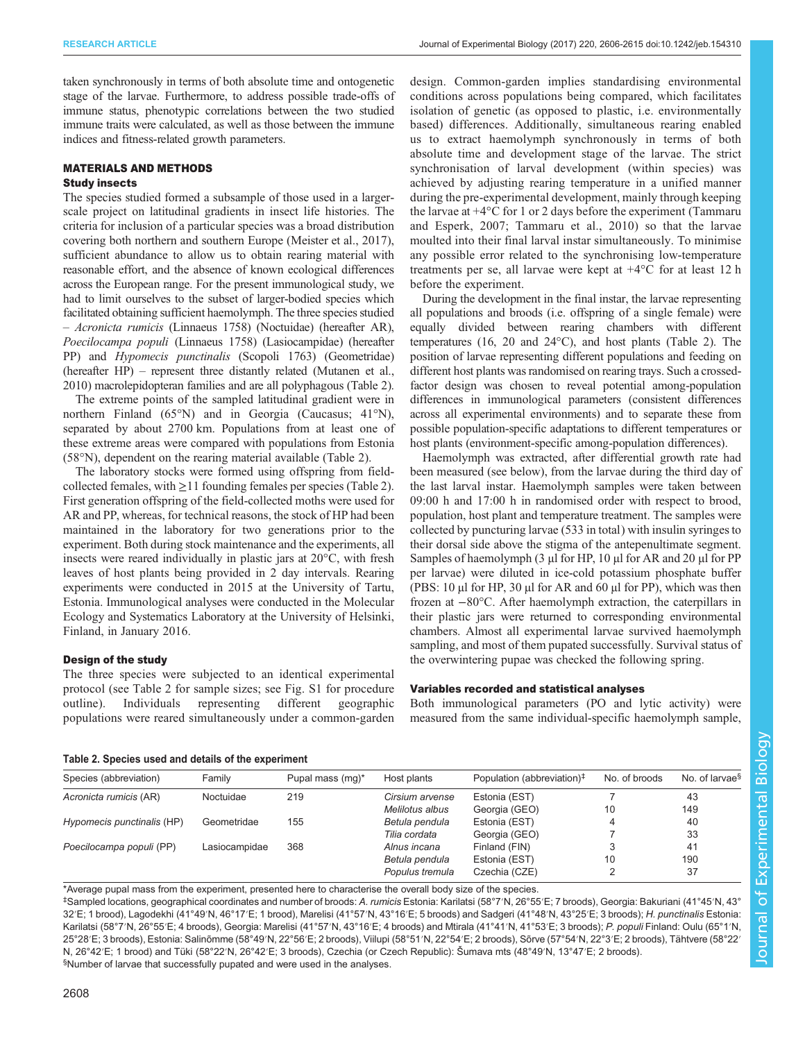<span id="page-2-0"></span>taken synchronously in terms of both absolute time and ontogenetic stage of the larvae. Furthermore, to address possible trade-offs of immune status, phenotypic correlations between the two studied immune traits were calculated, as well as those between the immune indices and fitness-related growth parameters.

# MATERIALS AND METHODS

# Study insects

The species studied formed a subsample of those used in a largerscale project on latitudinal gradients in insect life histories. The criteria for inclusion of a particular species was a broad distribution covering both northern and southern Europe [\(Meister et al., 2017\)](#page-9-0), sufficient abundance to allow us to obtain rearing material with reasonable effort, and the absence of known ecological differences across the European range. For the present immunological study, we had to limit ourselves to the subset of larger-bodied species which facilitated obtaining sufficient haemolymph. The three species studied – Acronicta rumicis (Linnaeus 1758) (Noctuidae) (hereafter AR), Poecilocampa populi (Linnaeus 1758) (Lasiocampidae) (hereafter PP) and Hypomecis punctinalis (Scopoli 1763) (Geometridae) (hereafter HP) – represent three distantly related [\(Mutanen et al.,](#page-9-0) [2010\)](#page-9-0) macrolepidopteran families and are all polyphagous (Table 2).

The extreme points of the sampled latitudinal gradient were in northern Finland (65°N) and in Georgia (Caucasus; 41°N), separated by about 2700 km. Populations from at least one of these extreme areas were compared with populations from Estonia (58°N), dependent on the rearing material available (Table 2).

The laboratory stocks were formed using offspring from fieldcollected females, with  $\geq$ 11 founding females per species (Table 2). First generation offspring of the field-collected moths were used for AR and PP, whereas, for technical reasons, the stock of HP had been maintained in the laboratory for two generations prior to the experiment. Both during stock maintenance and the experiments, all insects were reared individually in plastic jars at 20°C, with fresh leaves of host plants being provided in 2 day intervals. Rearing experiments were conducted in 2015 at the University of Tartu, Estonia. Immunological analyses were conducted in the Molecular Ecology and Systematics Laboratory at the University of Helsinki, Finland, in January 2016.

# Design of the study

The three species were subjected to an identical experimental protocol (see Table 2 for sample sizes; see [Fig. S1](http://jeb.biologists.org/lookup/doi/10.1242/jeb.154310.supplemental) for procedure outline). Individuals representing different geographic populations were reared simultaneously under a common-garden design. Common-garden implies standardising environmental conditions across populations being compared, which facilitates isolation of genetic (as opposed to plastic, i.e. environmentally based) differences. Additionally, simultaneous rearing enabled us to extract haemolymph synchronously in terms of both absolute time and development stage of the larvae. The strict synchronisation of larval development (within species) was achieved by adjusting rearing temperature in a unified manner during the pre-experimental development, mainly through keeping the larvae at +4°C for 1 or 2 days before the experiment ([Tammaru](#page-9-0) [and Esperk, 2007; Tammaru et al., 2010\)](#page-9-0) so that the larvae moulted into their final larval instar simultaneously. To minimise any possible error related to the synchronising low-temperature treatments per se, all larvae were kept at +4°C for at least 12 h before the experiment.

During the development in the final instar, the larvae representing all populations and broods (i.e. offspring of a single female) were equally divided between rearing chambers with different temperatures (16, 20 and 24°C), and host plants (Table 2). The position of larvae representing different populations and feeding on different host plants was randomised on rearing trays. Such a crossedfactor design was chosen to reveal potential among-population differences in immunological parameters (consistent differences across all experimental environments) and to separate these from possible population-specific adaptations to different temperatures or host plants (environment-specific among-population differences).

Haemolymph was extracted, after differential growth rate had been measured (see below), from the larvae during the third day of the last larval instar. Haemolymph samples were taken between 09:00 h and 17:00 h in randomised order with respect to brood, population, host plant and temperature treatment. The samples were collected by puncturing larvae (533 in total) with insulin syringes to their dorsal side above the stigma of the antepenultimate segment. Samples of haemolymph (3 µl for HP, 10 µl for AR and 20 µl for PP per larvae) were diluted in ice-cold potassium phosphate buffer (PBS: 10 µl for HP, 30 µl for AR and 60 µl for PP), which was then frozen at −80°C. After haemolymph extraction, the caterpillars in their plastic jars were returned to corresponding environmental chambers. Almost all experimental larvae survived haemolymph sampling, and most of them pupated successfully. Survival status of the overwintering pupae was checked the following spring.

# Variables recorded and statistical analyses

Both immunological parameters (PO and lytic activity) were measured from the same individual-specific haemolymph sample,

| Table 2. Species used and details of the experiment |  |  |  |  |
|-----------------------------------------------------|--|--|--|--|
|                                                     |  |  |  |  |

| Species (abbreviation)     | Family        | Pupal mass (mq)* | Host plants     | Population (abbreviation) <sup>‡</sup> | No. of broods | No. of larvae <sup>§</sup> |
|----------------------------|---------------|------------------|-----------------|----------------------------------------|---------------|----------------------------|
| Acronicta rumicis (AR)     | Noctuidae     | 219              | Cirsium arvense | Estonia (EST)                          |               | 43                         |
|                            |               |                  | Melilotus albus | Georgia (GEO)                          | 10            | 149                        |
| Hypomecis punctinalis (HP) | Geometridae   | 155              | Betula pendula  | Estonia (EST)                          |               | 40                         |
|                            |               |                  | Tilia cordata   | Georgia (GEO)                          |               | 33                         |
| Poecilocampa populi (PP)   | Lasiocampidae | 368              | Alnus incana    | Finland (FIN)                          |               | 41                         |
|                            |               |                  | Betula pendula  | Estonia (EST)                          | 10            | 190                        |
|                            |               |                  | Populus tremula | Czechia (CZE)                          |               | 37                         |
|                            |               |                  |                 |                                        |               |                            |

\*Average pupal mass from the experiment, presented here to characterise the overall body size of the species.

‡ Sampled locations, geographical coordinates and number of broods: A. rumicis Estonia: Karilatsi (58°7′N, 26°55′E; 7 broods), Georgia: Bakuriani (41°45′N, 43° 32′E; 1 brood), Lagodekhi (41°49′N, 46°17′E; 1 brood), Marelisi (41°57′N, 43°16′E; 5 broods) and Sadgeri (41°48′N, 43°25′E; 3 broods); H. punctinalis Estonia: Karilatsi (58°7′N, 26°55′E; 4 broods), Georgia: Marelisi (41°57′N, 43°16′E; 4 broods) and Mtirala (41°41′N, 41°53′E; 3 broods); P. populi Finland: Oulu (65°1′N, 25°28′E; 3 broods), Estonia: Salinõmme (58°49′N, 22°56′E; 2 broods), Viilupi (58°51′N, 22°54′E; 2 broods), Sõrve (57°54′N, 22°3′E; 2 broods), Tähtvere (58°22′ N, 26°42′E; 1 brood) and Tüki (58°22′N, 26°42′E; 3 broods), Czechia (or Czech Republic): Šumava mts (48°49′N, 13°47′E; 2 broods). § Number of larvae that successfully pupated and were used in the analyses.

Journal of Experimental Biologylournal of Experimental Biology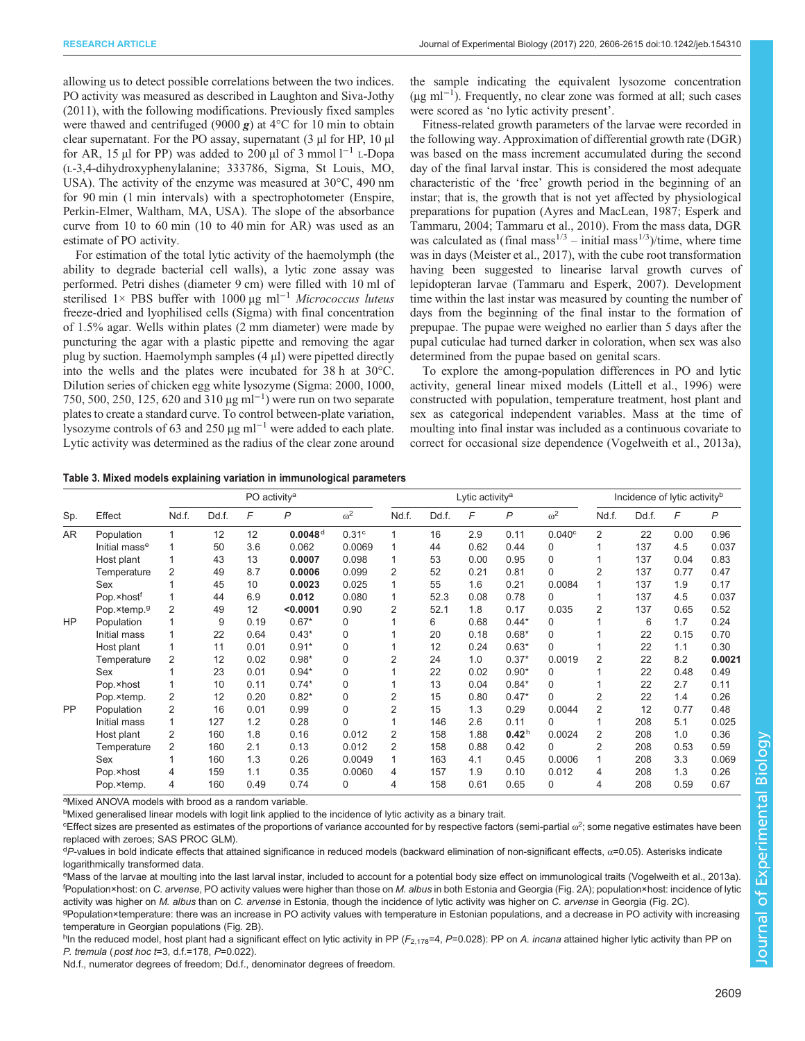<span id="page-3-0"></span>allowing us to detect possible correlations between the two indices. PO activity was measured as described in [Laughton and Siva-Jothy](#page-9-0) [\(2011\)](#page-9-0), with the following modifications. Previously fixed samples were thawed and centrifuged (9000  $g$ ) at 4°C for 10 min to obtain clear supernatant. For the PO assay, supernatant (3 µl for HP, 10 µl for AR, 15 µl for PP) was added to 200 µl of 3 mmol  $l^{-1}$  L-Dopa (L-3,4-dihydroxyphenylalanine; 333786, Sigma, St Louis, MO, USA). The activity of the enzyme was measured at 30°C, 490 nm for 90 min (1 min intervals) with a spectrophotometer (Enspire, Perkin-Elmer, Waltham, MA, USA). The slope of the absorbance curve from 10 to 60 min (10 to 40 min for AR) was used as an estimate of PO activity.

For estimation of the total lytic activity of the haemolymph (the ability to degrade bacterial cell walls), a lytic zone assay was performed. Petri dishes (diameter 9 cm) were filled with 10 ml of sterilised 1× PBS buffer with 1000 µg ml<sup>-1</sup> Micrococcus luteus freeze-dried and lyophilised cells (Sigma) with final concentration of 1.5% agar. Wells within plates (2 mm diameter) were made by puncturing the agar with a plastic pipette and removing the agar plug by suction. Haemolymph samples (4 µl) were pipetted directly into the wells and the plates were incubated for 38 h at 30°C. Dilution series of chicken egg white lysozyme (Sigma: 2000, 1000, 750, 500, 250, 125, 620 and 310 µg ml−<sup>1</sup> ) were run on two separate plates to create a standard curve. To control between-plate variation, lysozyme controls of 63 and 250 µg ml−<sup>1</sup> were added to each plate. Lytic activity was determined as the radius of the clear zone around

the sample indicating the equivalent lysozome concentration (µg ml−<sup>1</sup> ). Frequently, no clear zone was formed at all; such cases were scored as 'no lytic activity present'.

Fitness-related growth parameters of the larvae were recorded in the following way. Approximation of differential growth rate (DGR) was based on the mass increment accumulated during the second day of the final larval instar. This is considered the most adequate characteristic of the 'free' growth period in the beginning of an instar; that is, the growth that is not yet affected by physiological preparations for pupation ([Ayres and MacLean, 1987; Esperk and](#page-8-0) [Tammaru, 2004](#page-8-0); [Tammaru et al., 2010](#page-9-0)). From the mass data, DGR was calculated as (final mass<sup>1/3</sup> – initial mass<sup>1/3</sup>)/time, where time was in days [\(Meister et al., 2017](#page-9-0)), with the cube root transformation having been suggested to linearise larval growth curves of lepidopteran larvae [\(Tammaru and Esperk, 2007\)](#page-9-0). Development time within the last instar was measured by counting the number of days from the beginning of the final instar to the formation of prepupae. The pupae were weighed no earlier than 5 days after the pupal cuticulae had turned darker in coloration, when sex was also determined from the pupae based on genital scars.

To explore the among-population differences in PO and lytic activity, general linear mixed models [\(Littell et al., 1996\)](#page-9-0) were constructed with population, temperature treatment, host plant and sex as categorical independent variables. Mass at the time of moulting into final instar was included as a continuous covariate to correct for occasional size dependence ([Vogelweith et al., 2013a\)](#page-9-0),

| Table 3. Mixed models explaining variation in immunological parameters |  |  |  |
|------------------------------------------------------------------------|--|--|--|
|                                                                        |  |  |  |

|           |                           | PO activity <sup>a</sup> |       |      |                       |                   | Lytic activity <sup>a</sup> |       |      |                   | Incidence of lytic activity <sup>b</sup> |                |       |      |                |
|-----------|---------------------------|--------------------------|-------|------|-----------------------|-------------------|-----------------------------|-------|------|-------------------|------------------------------------------|----------------|-------|------|----------------|
| Sp.       | Effect                    | Nd.f.                    | Dd.f. | F    | P                     | $\omega^2$        | Nd.f.                       | Dd.f. | F    | $\mathcal{P}$     | $\omega^2$                               | Nd.f.          | Dd.f. | F    | $\overline{P}$ |
| AR.       | Population                |                          | 12    | 12   | $0.0048$ <sup>d</sup> | 0.31 <sup>c</sup> | 1                           | 16    | 2.9  | 0.11              | 0.040c                                   | $\overline{2}$ | 22    | 0.00 | 0.96           |
|           | Initial mass <sup>e</sup> |                          | 50    | 3.6  | 0.062                 | 0.0069            | 1                           | 44    | 0.62 | 0.44              | 0                                        |                | 137   | 4.5  | 0.037          |
|           | Host plant                | 1                        | 43    | 13   | 0.0007                | 0.098             | 1                           | 53    | 0.00 | 0.95              | $\Omega$                                 |                | 137   | 0.04 | 0.83           |
|           | Temperature               | 2                        | 49    | 8.7  | 0.0006                | 0.099             | $\overline{2}$              | 52    | 0.21 | 0.81              | $\Omega$                                 | $\overline{2}$ | 137   | 0.77 | 0.47           |
|           | Sex                       |                          | 45    | 10   | 0.0023                | 0.025             | 1                           | 55    | 1.6  | 0.21              | 0.0084                                   |                | 137   | 1.9  | 0.17           |
|           | Pop.×host <sup>f</sup>    | 1                        | 44    | 6.9  | 0.012                 | 0.080             | 1                           | 52.3  | 0.08 | 0.78              | 0                                        |                | 137   | 4.5  | 0.037          |
|           | Pop.×temp.9               | 2                        | 49    | 12   | < 0.0001              | 0.90              | 2                           | 52.1  | 1.8  | 0.17              | 0.035                                    | $\overline{2}$ | 137   | 0.65 | 0.52           |
| HP        | Population                |                          | 9     | 0.19 | $0.67*$               | $\Omega$          |                             | 6     | 0.68 | $0.44*$           | 0                                        |                | 6     | 1.7  | 0.24           |
|           | Initial mass              | $\mathbf{1}$             | 22    | 0.64 | $0.43*$               | $\Omega$          |                             | 20    | 0.18 | $0.68*$           | $\Omega$                                 |                | 22    | 0.15 | 0.70           |
|           | Host plant                | 1                        | 11    | 0.01 | $0.91*$               | $\Omega$          |                             | 12    | 0.24 | $0.63*$           | $\Omega$                                 |                | 22    | 1.1  | 0.30           |
|           | Temperature               | $\overline{2}$           | 12    | 0.02 | $0.98*$               | $\Omega$          | 2                           | 24    | 1.0  | $0.37*$           | 0.0019                                   | $\overline{2}$ | 22    | 8.2  | 0.0021         |
|           | Sex                       |                          | 23    | 0.01 | $0.94*$               | $\Omega$          |                             | 22    | 0.02 | $0.90*$           | 0                                        |                | 22    | 0.48 | 0.49           |
|           | Pop.×host                 | 1                        | 10    | 0.11 | $0.74*$               | $\Omega$          |                             | 13    | 0.04 | $0.84*$           | 0                                        |                | 22    | 2.7  | 0.11           |
|           | Pop.×temp.                | 2                        | 12    | 0.20 | $0.82*$               | $\Omega$          | $\overline{2}$              | 15    | 0.80 | $0.47*$           | $\Omega$                                 | $\overline{2}$ | 22    | 1.4  | 0.26           |
| <b>PP</b> | Population                | 2                        | 16    | 0.01 | 0.99                  | $\Omega$          | 2                           | 15    | 1.3  | 0.29              | 0.0044                                   | $\overline{2}$ | 12    | 0.77 | 0.48           |
|           | Initial mass              | 1                        | 127   | 1.2  | 0.28                  | $\Omega$          |                             | 146   | 2.6  | 0.11              | 0                                        |                | 208   | 5.1  | 0.025          |
|           | Host plant                | 2                        | 160   | 1.8  | 0.16                  | 0.012             | $\overline{2}$              | 158   | 1.88 | 0.42 <sup>h</sup> | 0.0024                                   | $\overline{2}$ | 208   | 1.0  | 0.36           |
|           | Temperature               | 2                        | 160   | 2.1  | 0.13                  | 0.012             | 2                           | 158   | 0.88 | 0.42              | 0                                        | $\overline{2}$ | 208   | 0.53 | 0.59           |
|           | Sex                       |                          | 160   | 1.3  | 0.26                  | 0.0049            | 1                           | 163   | 4.1  | 0.45              | 0.0006                                   |                | 208   | 3.3  | 0.069          |
|           | Pop.×host                 | 4                        | 159   | 1.1  | 0.35                  | 0.0060            | 4                           | 157   | 1.9  | 0.10              | 0.012                                    | 4              | 208   | 1.3  | 0.26           |
|           | Pop.×temp.                | 4                        | 160   | 0.49 | 0.74                  | $\Omega$          | 4                           | 158   | 0.61 | 0.65              | 0                                        | 4              | 208   | 0.59 | 0.67           |

<sup>a</sup>Mixed ANOVA models with brood as a random variable.

<sup>b</sup>Mixed generalised linear models with logit link applied to the incidence of lytic activity as a binary trait.

 $^{\rm c}$ Effect sizes are presented as estimates of the proportions of variance accounted for by respective factors (semi-partial  $\omega^2$ ; some negative estimates have been replaced with zeroes; SAS PROC GLM).

<sup>d</sup>P-values in bold indicate effects that attained significance in reduced models (backward elimination of non-significant effects, α=0.05). Asterisks indicate logarithmically transformed data.

eMass of the larvae at moulting into the last larval instar, included to account for a potential body size effect on immunological traits ([Vogelweith et](#page-9-0) al., 2013a). <sup>f</sup>Population×host: on C. arvense, PO activity values were higher than those on M. albus in both Estonia and Georgia ([Fig. 2A](#page-5-0)); population×host: incidence of lytic activity was higher on M. albus than on C. arvense in Estonia, though the incidence of lytic activity was higher on C. arvense in Georgia ([Fig. 2](#page-5-0)C).

g Population×temperature: there was an increase in PO activity values with temperature in Estonian populations, and a decrease in PO activity with increasing temperature in Georgian populations ([Fig. 2](#page-5-0)B).

<sup>h</sup>In the reduced model, host plant had a significant effect on lytic activity in PP ( $F_{2,178}$ =4, *P*=0.028): PP on *A. incana* attained higher lytic activity than PP on P. tremula ( post hoc t=3, d.f.=178, P=0.022).

Nd.f., numerator degrees of freedom; Dd.f., denominator degrees of freedom.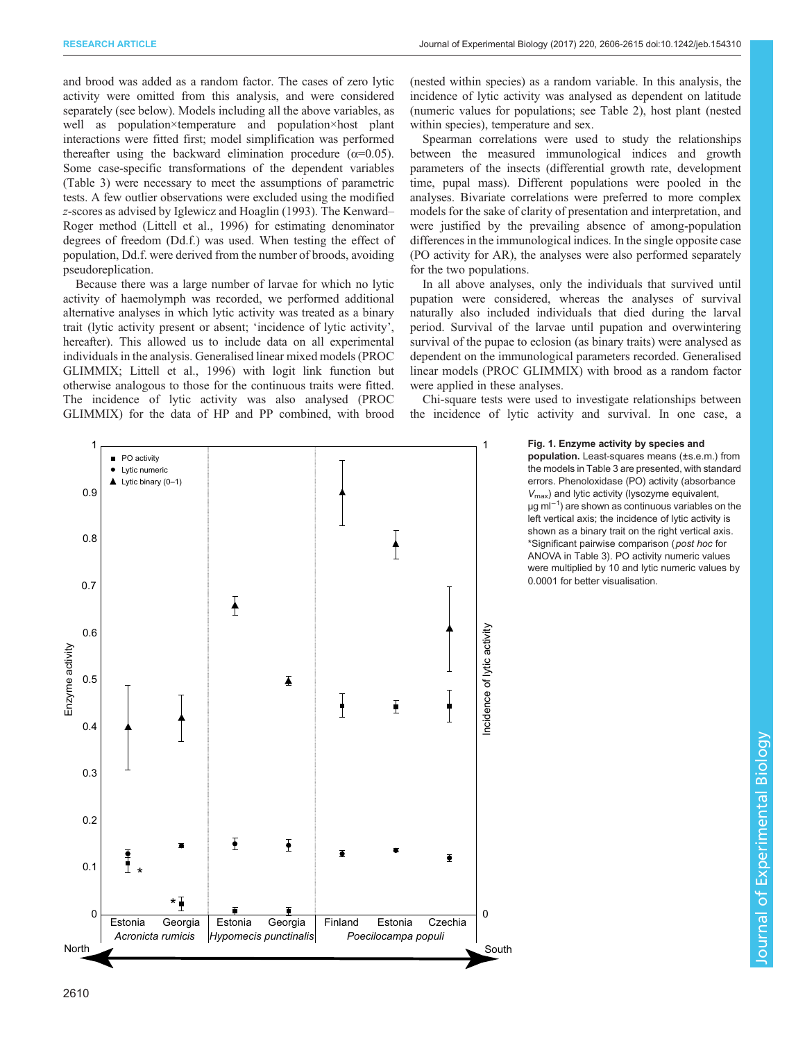<span id="page-4-0"></span>and brood was added as a random factor. The cases of zero lytic activity were omitted from this analysis, and were considered separately (see below). Models including all the above variables, as well as population×temperature and population×host plant interactions were fitted first; model simplification was performed thereafter using the backward elimination procedure ( $\alpha$ =0.05). Some case-specific transformations of the dependent variables [\(Table 3\)](#page-3-0) were necessary to meet the assumptions of parametric tests. A few outlier observations were excluded using the modified z-scores as advised by [Iglewicz and Hoaglin \(1993\).](#page-8-0) The Kenward– Roger method ([Littell et al., 1996\)](#page-9-0) for estimating denominator degrees of freedom (Dd.f.) was used. When testing the effect of population, Dd.f. were derived from the number of broods, avoiding pseudoreplication.

Because there was a large number of larvae for which no lytic activity of haemolymph was recorded, we performed additional alternative analyses in which lytic activity was treated as a binary trait (lytic activity present or absent; 'incidence of lytic activity', hereafter). This allowed us to include data on all experimental individuals in the analysis. Generalised linear mixed models (PROC GLIMMIX; [Littell et al., 1996\)](#page-9-0) with logit link function but otherwise analogous to those for the continuous traits were fitted. The incidence of lytic activity was also analysed (PROC GLIMMIX) for the data of HP and PP combined, with brood

(nested within species) as a random variable. In this analysis, the incidence of lytic activity was analysed as dependent on latitude (numeric values for populations; see [Table 2](#page-2-0)), host plant (nested within species), temperature and sex.

Spearman correlations were used to study the relationships between the measured immunological indices and growth parameters of the insects (differential growth rate, development time, pupal mass). Different populations were pooled in the analyses. Bivariate correlations were preferred to more complex models for the sake of clarity of presentation and interpretation, and were justified by the prevailing absence of among-population differences in the immunological indices. In the single opposite case (PO activity for AR), the analyses were also performed separately for the two populations.

In all above analyses, only the individuals that survived until pupation were considered, whereas the analyses of survival naturally also included individuals that died during the larval period. Survival of the larvae until pupation and overwintering survival of the pupae to eclosion (as binary traits) were analysed as dependent on the immunological parameters recorded. Generalised linear models (PROC GLIMMIX) with brood as a random factor were applied in these analyses.

Chi-square tests were used to investigate relationships between the incidence of lytic activity and survival. In one case, a

# Fig. 1. Enzyme activity by species and

population. Least-squares means (±s.e.m.) from the models in [Table 3](#page-3-0) are presented, with standard errors. Phenoloxidase (PO) activity (absorbance  $V_{\text{max}}$ ) and lytic activity (lysozyme equivalent, µg ml<sup>-1</sup>) are shown as continuous variables on the left vertical axis; the incidence of lytic activity is shown as a binary trait on the right vertical axis. \*Significant pairwise comparison (post hoc for ANOVA in [Table 3\)](#page-3-0). PO activity numeric values were multiplied by 10 and lytic numeric values by 0.0001 for better visualisation.

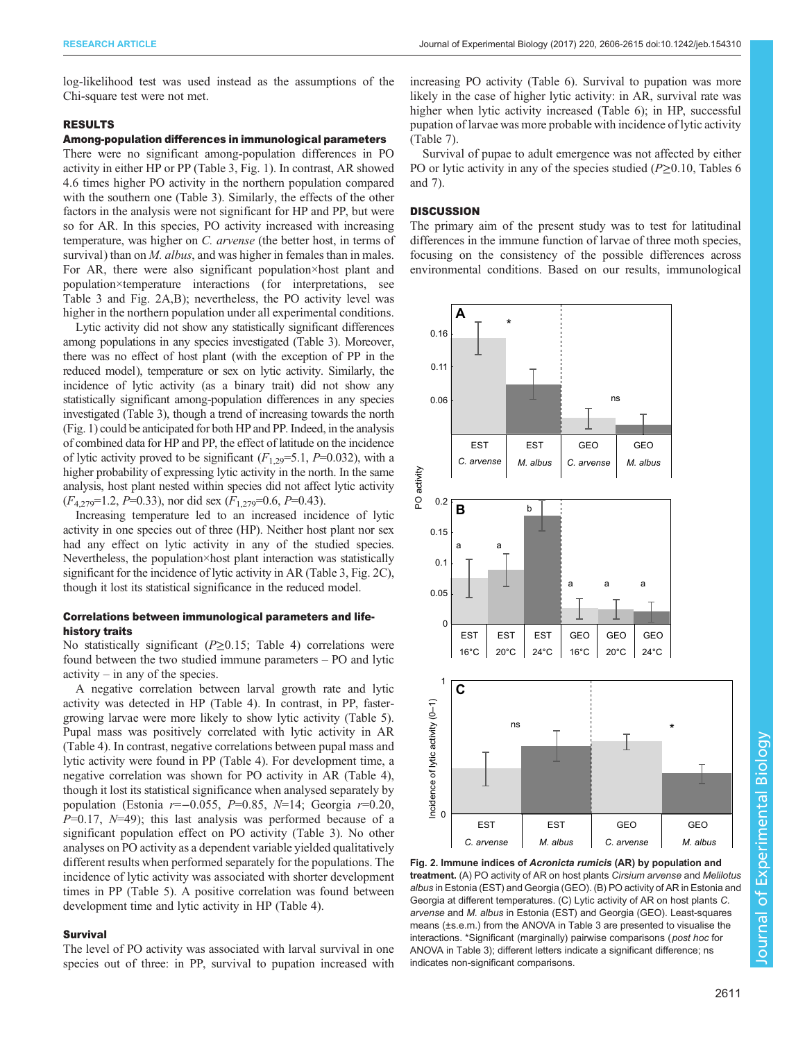<span id="page-5-0"></span>log-likelihood test was used instead as the assumptions of the Chi-square test were not met.

# RESULTS

# Among-population differences in immunological parameters

There were no significant among-population differences in PO activity in either HP or PP ([Table 3,](#page-3-0) [Fig. 1\)](#page-4-0). In contrast, AR showed 4.6 times higher PO activity in the northern population compared with the southern one ([Table 3\)](#page-3-0). Similarly, the effects of the other factors in the analysis were not significant for HP and PP, but were so for AR. In this species, PO activity increased with increasing temperature, was higher on C. arvense (the better host, in terms of survival) than on *M. albus*, and was higher in females than in males. For AR, there were also significant population×host plant and population×temperature interactions (for interpretations, see [Table 3](#page-3-0) and Fig. 2A,B); nevertheless, the PO activity level was higher in the northern population under all experimental conditions.

Lytic activity did not show any statistically significant differences among populations in any species investigated [\(Table 3](#page-3-0)). Moreover, there was no effect of host plant (with the exception of PP in the reduced model), temperature or sex on lytic activity. Similarly, the incidence of lytic activity (as a binary trait) did not show any statistically significant among-population differences in any species investigated [\(Table 3\)](#page-3-0), though a trend of increasing towards the north [\(Fig. 1](#page-4-0)) could be anticipated for both HP and PP. Indeed, in the analysis of combined data for HP and PP, the effect of latitude on the incidence of lytic activity proved to be significant  $(F_{1,29}=5.1, P=0.032)$ , with a higher probability of expressing lytic activity in the north. In the same analysis, host plant nested within species did not affect lytic activity  $(F_{4,279}=1.2, P=0.33)$ , nor did sex  $(F_{1,279}=0.6, P=0.43)$ .

Increasing temperature led to an increased incidence of lytic activity in one species out of three (HP). Neither host plant nor sex had any effect on lytic activity in any of the studied species. Nevertheless, the population×host plant interaction was statistically significant for the incidence of lytic activity in AR ([Table 3,](#page-3-0) Fig. 2C), though it lost its statistical significance in the reduced model.

# Correlations between immunological parameters and lifehistory traits

No statistically significant ( $P\geq 0.15$ ; [Table 4\)](#page-6-0) correlations were found between the two studied immune parameters – PO and lytic  $\arcsin y - \text{in any of the species.}$ 

A negative correlation between larval growth rate and lytic activity was detected in HP [\(Table 4\)](#page-6-0). In contrast, in PP, fastergrowing larvae were more likely to show lytic activity [\(Table 5\)](#page-6-0). Pupal mass was positively correlated with lytic activity in AR [\(Table 4](#page-6-0)). In contrast, negative correlations between pupal mass and lytic activity were found in PP [\(Table 4\)](#page-6-0). For development time, a negative correlation was shown for PO activity in AR [\(Table 4\)](#page-6-0), though it lost its statistical significance when analysed separately by population (Estonia  $r=-0.055$ ,  $P=0.85$ ,  $N=14$ ; Georgia  $r=0.20$ ,  $P=0.17$ ,  $N=49$ ); this last analysis was performed because of a significant population effect on PO activity ([Table 3\)](#page-3-0). No other analyses on PO activity as a dependent variable yielded qualitatively different results when performed separately for the populations. The incidence of lytic activity was associated with shorter development times in PP ([Table 5](#page-6-0)). A positive correlation was found between development time and lytic activity in HP ([Table 4](#page-6-0)).

# Survival

The level of PO activity was associated with larval survival in one species out of three: in PP, survival to pupation increased with increasing PO activity ([Table 6](#page-7-0)). Survival to pupation was more likely in the case of higher lytic activity: in AR, survival rate was higher when lytic activity increased ([Table 6](#page-7-0)); in HP, successful pupation of larvae was more probable with incidence of lytic activity [\(Table 7\)](#page-7-0).

Survival of pupae to adult emergence was not affected by either PO or lytic activity in any of the species studied ( $P \ge 0.10$ , [Tables 6](#page-7-0) and [7](#page-7-0)).

# **DISCUSSION**

The primary aim of the present study was to test for latitudinal differences in the immune function of larvae of three moth species, focusing on the consistency of the possible differences across environmental conditions. Based on our results, immunological



Fig. 2. Immune indices of Acronicta rumicis (AR) by population and treatment. (A) PO activity of AR on host plants Cirsium arvense and Melilotus albus in Estonia (EST) and Georgia (GEO). (B) PO activity of AR in Estonia and Georgia at different temperatures. (C) Lytic activity of AR on host plants C. arvense and M. albus in Estonia (EST) and Georgia (GEO). Least-squares means (±s.e.m.) from the ANOVA in [Table 3](#page-3-0) are presented to visualise the interactions. \*Significant (marginally) pairwise comparisons (post hoc for ANOVA in [Table 3](#page-3-0)); different letters indicate a significant difference; ns indicates non-significant comparisons.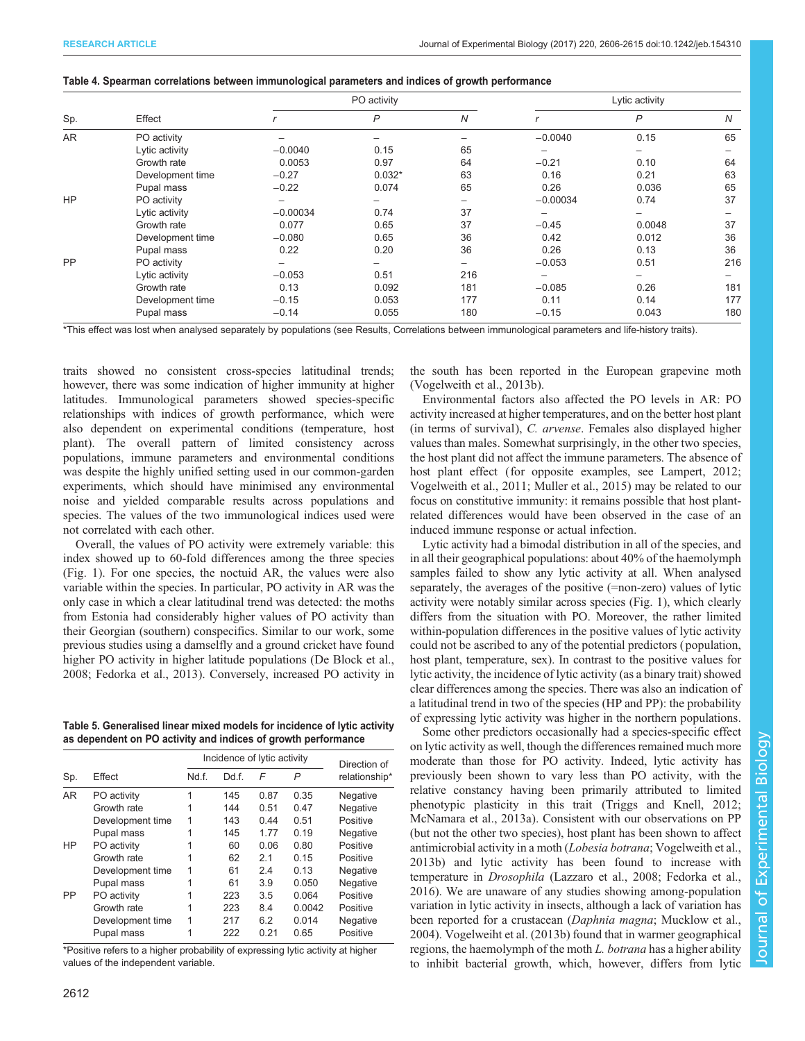# <span id="page-6-0"></span>Table 4. Spearman correlations between immunological parameters and indices of growth performance

|           |                  |            | PO activity  |                          |            | Lytic activity |                |
|-----------|------------------|------------|--------------|--------------------------|------------|----------------|----------------|
| Sp.       | Effect           |            | $\mathsf{P}$ | N                        |            | $\mathsf{P}$   | $\overline{N}$ |
| AR        | PO activity      |            |              |                          | $-0.0040$  | 0.15           | 65             |
|           | Lytic activity   | $-0.0040$  | 0.15         | 65                       |            | -              |                |
|           | Growth rate      | 0.0053     | 0.97         | 64                       | $-0.21$    | 0.10           | 64             |
|           | Development time | $-0.27$    | $0.032*$     | 63                       | 0.16       | 0.21           | 63             |
|           | Pupal mass       | $-0.22$    | 0.074        | 65                       | 0.26       | 0.036          | 65             |
| <b>HP</b> | PO activity      | -          |              | $\overline{\phantom{a}}$ | $-0.00034$ | 0.74           | 37             |
|           | Lytic activity   | $-0.00034$ | 0.74         | 37                       |            |                |                |
|           | Growth rate      | 0.077      | 0.65         | 37                       | $-0.45$    | 0.0048         | 37             |
|           | Development time | $-0.080$   | 0.65         | 36                       | 0.42       | 0.012          | 36             |
|           | Pupal mass       | 0.22       | 0.20         | 36                       | 0.26       | 0.13           | 36             |
| PP        | PO activity      |            |              |                          | $-0.053$   | 0.51           | 216            |
|           | Lytic activity   | $-0.053$   | 0.51         | 216                      |            |                |                |
|           | Growth rate      | 0.13       | 0.092        | 181                      | $-0.085$   | 0.26           | 181            |
|           | Development time | $-0.15$    | 0.053        | 177                      | 0.11       | 0.14           | 177            |
|           | Pupal mass       | $-0.14$    | 0.055        | 180                      | $-0.15$    | 0.043          | 180            |

\*This effect was lost when analysed separately by populations (see Results, Correlations between immunological parameters and life-history traits).

traits showed no consistent cross-species latitudinal trends; however, there was some indication of higher immunity at higher latitudes. Immunological parameters showed species-specific relationships with indices of growth performance, which were also dependent on experimental conditions (temperature, host plant). The overall pattern of limited consistency across populations, immune parameters and environmental conditions was despite the highly unified setting used in our common-garden experiments, which should have minimised any environmental noise and yielded comparable results across populations and species. The values of the two immunological indices used were not correlated with each other.

Overall, the values of PO activity were extremely variable: this index showed up to 60-fold differences among the three species [\(Fig. 1\)](#page-4-0). For one species, the noctuid AR, the values were also variable within the species. In particular, PO activity in AR was the only case in which a clear latitudinal trend was detected: the moths from Estonia had considerably higher values of PO activity than their Georgian (southern) conspecifics. Similar to our work, some previous studies using a damselfly and a ground cricket have found higher PO activity in higher latitude populations [\(De Block et al.,](#page-8-0) [2008](#page-8-0); [Fedorka et al., 2013\)](#page-8-0). Conversely, increased PO activity in

Table 5. Generalised linear mixed models for incidence of lytic activity as dependent on PO activity and indices of growth performance

|           |                  | Incidence of lytic activity | Direction of |      |        |               |
|-----------|------------------|-----------------------------|--------------|------|--------|---------------|
| Sp.       | Effect           | Nd f.                       | Dd.f.        | F    | P      | relationship* |
| <b>AR</b> | PO activity      |                             | 145          | 0.87 | 0.35   | Negative      |
|           | Growth rate      |                             | 144          | 0.51 | 0.47   | Negative      |
|           | Development time |                             | 143          | 0.44 | 0.51   | Positive      |
|           | Pupal mass       |                             | 145          | 1.77 | 0.19   | Negative      |
| HP        | PO activity      |                             | 60           | 0.06 | 0.80   | Positive      |
|           | Growth rate      |                             | 62           | 2.1  | 0.15   | Positive      |
|           | Development time |                             | 61           | 2.4  | 0.13   | Negative      |
|           | Pupal mass       |                             | 61           | 3.9  | 0.050  | Negative      |
| PP        | PO activity      |                             | 223          | 3.5  | 0.064  | Positive      |
|           | Growth rate      | 1                           | 223          | 8.4  | 0.0042 | Positive      |
|           | Development time |                             | 217          | 6.2  | 0.014  | Negative      |
|           | Pupal mass       |                             | 222          | 0.21 | 0.65   | Positive      |

\*Positive refers to a higher probability of expressing lytic activity at higher values of the independent variable.

the south has been reported in the European grapevine moth [\(Vogelweith et al., 2013b\)](#page-9-0).

Environmental factors also affected the PO levels in AR: PO activity increased at higher temperatures, and on the better host plant (in terms of survival), C. arvense. Females also displayed higher values than males. Somewhat surprisingly, in the other two species, the host plant did not affect the immune parameters. The absence of host plant effect (for opposite examples, see [Lampert, 2012](#page-9-0); [Vogelweith et al., 2011](#page-9-0); [Muller et al., 2015](#page-9-0)) may be related to our focus on constitutive immunity: it remains possible that host plantrelated differences would have been observed in the case of an induced immune response or actual infection.

Lytic activity had a bimodal distribution in all of the species, and in all their geographical populations: about 40% of the haemolymph samples failed to show any lytic activity at all. When analysed separately, the averages of the positive (=non-zero) values of lytic activity were notably similar across species ([Fig. 1](#page-4-0)), which clearly differs from the situation with PO. Moreover, the rather limited within-population differences in the positive values of lytic activity could not be ascribed to any of the potential predictors ( population, host plant, temperature, sex). In contrast to the positive values for lytic activity, the incidence of lytic activity (as a binary trait) showed clear differences among the species. There was also an indication of a latitudinal trend in two of the species (HP and PP): the probability of expressing lytic activity was higher in the northern populations.

Some other predictors occasionally had a species-specific effect on lytic activity as well, though the differences remained much more moderate than those for PO activity. Indeed, lytic activity has previously been shown to vary less than PO activity, with the relative constancy having been primarily attributed to limited phenotypic plasticity in this trait ([Triggs and Knell, 2012](#page-9-0); [McNamara et al., 2013a\)](#page-9-0). Consistent with our observations on PP (but not the other two species), host plant has been shown to affect antimicrobial activity in a moth (Lobesia botrana; [Vogelweith et al.,](#page-9-0) [2013b\)](#page-9-0) and lytic activity has been found to increase with temperature in Drosophila [\(Lazzaro et al., 2008;](#page-9-0) [Fedorka et al.,](#page-8-0) [2016\)](#page-8-0). We are unaware of any studies showing among-population variation in lytic activity in insects, although a lack of variation has been reported for a crustacean (Daphnia magna; [Mucklow et al.,](#page-9-0) [2004\)](#page-9-0). [Vogelweiht et al. \(2013b\)](#page-9-0) found that in warmer geographical regions, the haemolymph of the moth L. botrana has a higher ability to inhibit bacterial growth, which, however, differs from lytic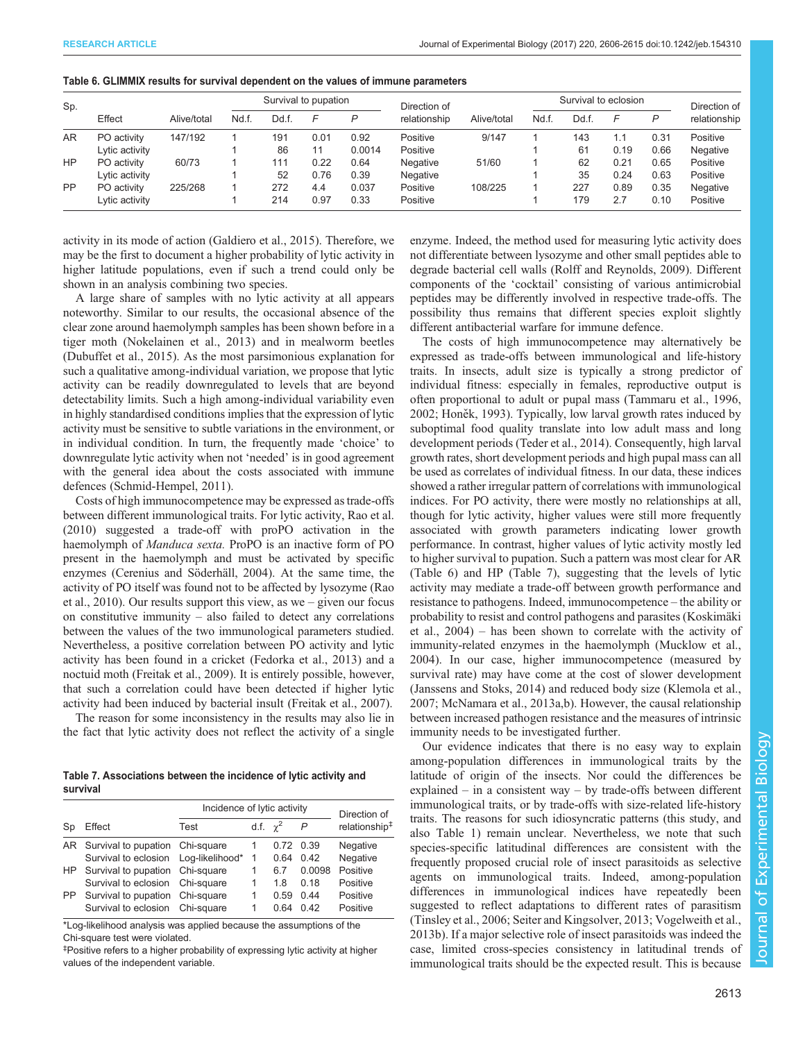| Sp.       |                |             |       | Survival to pupation |      |        | Direction of |             | Survival to eclosion |     |      |      | Direction of |
|-----------|----------------|-------------|-------|----------------------|------|--------|--------------|-------------|----------------------|-----|------|------|--------------|
|           | Effect         | Alive/total | Nd.f. | Dd.f.                | F    | P      | relationship | Alive/total | Nd.f.                | Ddf |      | P    | relationship |
| AR        | PO activity    | 147/192     |       | 191                  | 0.01 | 0.92   | Positive     | 9/147       |                      | 143 | 1.1  | 0.31 | Positive     |
|           | Lytic activity |             |       | 86                   | 11   | 0.0014 | Positive     |             |                      | 61  | 0.19 | 0.66 | Negative     |
| HP.       | PO activity    | 60/73       |       | 111                  | 0.22 | 0.64   | Negative     | 51/60       |                      | 62  | 0.21 | 0.65 | Positive     |
|           | Lytic activity |             |       | 52                   | 0.76 | 0.39   | Negative     |             |                      | 35  | 0.24 | 0.63 | Positive     |
| <b>PP</b> | PO activity    | 225/268     |       | 272                  | 4.4  | 0.037  | Positive     | 108/225     |                      | 227 | 0.89 | 0.35 | Negative     |
|           | Lytic activity |             |       | 214                  | 0.97 | 0.33   | Positive     |             |                      | 179 | 2.7  | 0.10 | Positive     |

<span id="page-7-0"></span>Table 6. GLIMMIX results for survival dependent on the values of immune parameters

activity in its mode of action [\(Galdiero et al., 2015\)](#page-8-0). Therefore, we may be the first to document a higher probability of lytic activity in higher latitude populations, even if such a trend could only be shown in an analysis combining two species.

A large share of samples with no lytic activity at all appears noteworthy. Similar to our results, the occasional absence of the clear zone around haemolymph samples has been shown before in a tiger moth ([Nokelainen et al., 2013](#page-9-0)) and in mealworm beetles [\(Dubuffet et al., 2015](#page-8-0)). As the most parsimonious explanation for such a qualitative among-individual variation, we propose that lytic activity can be readily downregulated to levels that are beyond detectability limits. Such a high among-individual variability even in highly standardised conditions implies that the expression of lytic activity must be sensitive to subtle variations in the environment, or in individual condition. In turn, the frequently made 'choice' to downregulate lytic activity when not 'needed' is in good agreement with the general idea about the costs associated with immune defences ([Schmid-Hempel, 2011](#page-9-0)).

Costs of high immunocompetence may be expressed as trade-offs between different immunological traits. For lytic activity, [Rao et al.](#page-9-0) [\(2010\)](#page-9-0) suggested a trade-off with proPO activation in the haemolymph of *Manduca sexta*. ProPO is an inactive form of PO present in the haemolymph and must be activated by specific enzymes ([Cerenius and Söderhäll, 2004](#page-8-0)). At the same time, the activity of PO itself was found not to be affected by lysozyme ([Rao](#page-9-0) [et al., 2010\)](#page-9-0). Our results support this view, as we – given our focus on constitutive immunity – also failed to detect any correlations between the values of the two immunological parameters studied. Nevertheless, a positive correlation between PO activity and lytic activity has been found in a cricket [\(Fedorka et al., 2013\)](#page-8-0) and a noctuid moth ([Freitak et al., 2009](#page-8-0)). It is entirely possible, however, that such a correlation could have been detected if higher lytic activity had been induced by bacterial insult [\(Freitak et al., 2007](#page-8-0)).

The reason for some inconsistency in the results may also lie in the fact that lytic activity does not reflect the activity of a single

Table 7. Associations between the incidence of lytic activity and survival

|     |                                    | Incidence of lytic activity |                 | Direction of |                |                           |
|-----|------------------------------------|-----------------------------|-----------------|--------------|----------------|---------------------------|
| Sp  | Effect                             | Test                        | d.f. $\gamma^2$ |              | $\overline{P}$ | relationship <sup>#</sup> |
|     | AR Survival to pupation Chi-square |                             |                 |              | 0.72 0.39      | Negative                  |
|     |                                    |                             |                 | 0.64         | 0.42           | Negative                  |
|     | HP Survival to pupation Chi-square |                             |                 | 67           | 0.0098         | Positive                  |
|     | Survival to eclosion Chi-square    |                             |                 | 18           | 0.18           | Positive                  |
| PP. | Survival to pupation Chi-square    |                             |                 | በ 59         | 0.44           | Positive                  |
|     | Survival to eclosion               | Chi-square                  |                 | 0 64         | 0.42           | Positive                  |

\*Log-likelihood analysis was applied because the assumptions of the Chi-square test were violated.

‡ Positive refers to a higher probability of expressing lytic activity at higher values of the independent variable.

enzyme. Indeed, the method used for measuring lytic activity does not differentiate between lysozyme and other small peptides able to degrade bacterial cell walls [\(Rolff and Reynolds, 2009](#page-9-0)). Different components of the 'cocktail' consisting of various antimicrobial peptides may be differently involved in respective trade-offs. The possibility thus remains that different species exploit slightly different antibacterial warfare for immune defence.

The costs of high immunocompetence may alternatively be expressed as trade-offs between immunological and life-history traits. In insects, adult size is typically a strong predictor of individual fitness: especially in females, reproductive output is often proportional to adult or pupal mass ([Tammaru et al., 1996,](#page-9-0) [2002;](#page-9-0) Honě[k, 1993](#page-8-0)). Typically, low larval growth rates induced by suboptimal food quality translate into low adult mass and long development periods [\(Teder et al., 2014](#page-9-0)). Consequently, high larval growth rates, short development periods and high pupal mass can all be used as correlates of individual fitness. In our data, these indices showed a rather irregular pattern of correlations with immunological indices. For PO activity, there were mostly no relationships at all, though for lytic activity, higher values were still more frequently associated with growth parameters indicating lower growth performance. In contrast, higher values of lytic activity mostly led to higher survival to pupation. Such a pattern was most clear for AR (Table 6) and HP (Table 7), suggesting that the levels of lytic activity may mediate a trade-off between growth performance and resistance to pathogens. Indeed, immunocompetence – the ability or probability to resist and control pathogens and parasites ([Koskimäki](#page-9-0) [et al., 2004](#page-9-0)) – has been shown to correlate with the activity of immunity-related enzymes in the haemolymph ([Mucklow et al.,](#page-9-0) [2004\)](#page-9-0). In our case, higher immunocompetence (measured by survival rate) may have come at the cost of slower development [\(Janssens and Stoks, 2014\)](#page-9-0) and reduced body size ([Klemola et al.,](#page-9-0) [2007; McNamara et al., 2013a,b\)](#page-9-0). However, the causal relationship between increased pathogen resistance and the measures of intrinsic immunity needs to be investigated further.

Our evidence indicates that there is no easy way to explain among-population differences in immunological traits by the latitude of origin of the insects. Nor could the differences be explained – in a consistent way – by trade-offs between different immunological traits, or by trade-offs with size-related life-history traits. The reasons for such idiosyncratic patterns (this study, and also [Table 1\)](#page-1-0) remain unclear. Nevertheless, we note that such species-specific latitudinal differences are consistent with the frequently proposed crucial role of insect parasitoids as selective agents on immunological traits. Indeed, among-population differences in immunological indices have repeatedly been suggested to reflect adaptations to different rates of parasitism [\(Tinsley et al., 2006; Seiter and Kingsolver, 2013](#page-9-0); [Vogelweith et al.,](#page-9-0) [2013b\)](#page-9-0). If a major selective role of insect parasitoids was indeed the case, limited cross-species consistency in latitudinal trends of immunological traits should be the expected result. This is because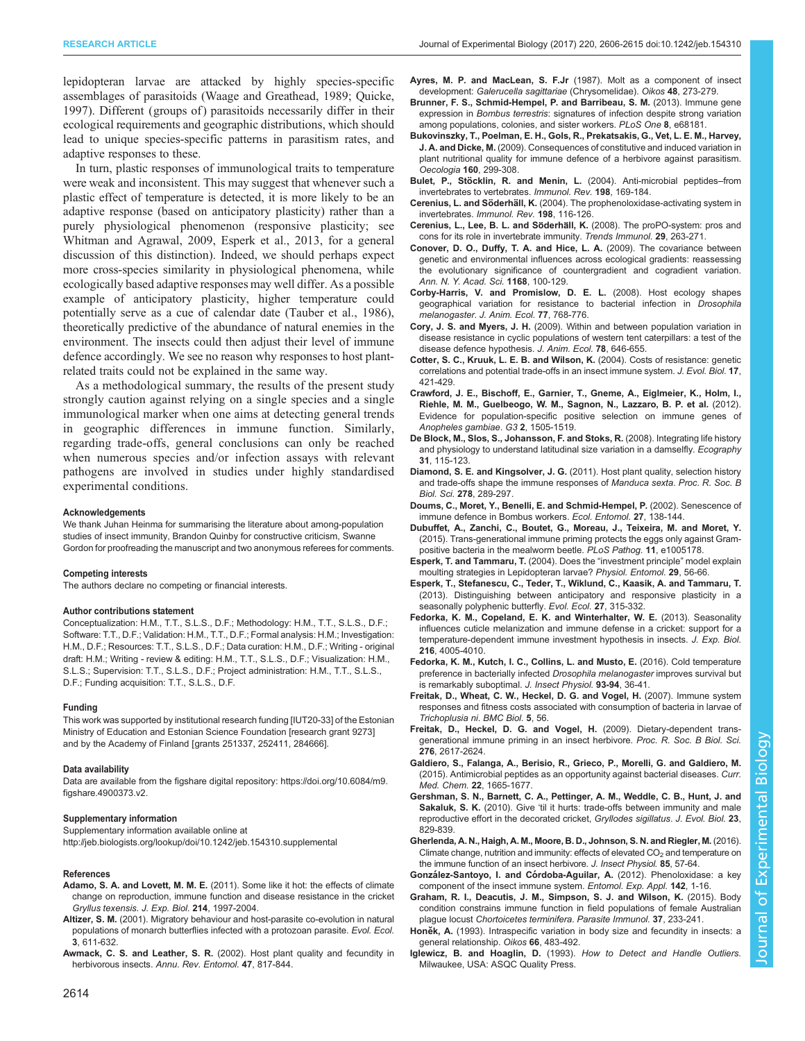<span id="page-8-0"></span>lepidopteran larvae are attacked by highly species-specific assemblages of parasitoids [\(Waage and Greathead, 1989; Quicke,](#page-9-0) [1997](#page-9-0)). Different (groups of) parasitoids necessarily differ in their ecological requirements and geographic distributions, which should lead to unique species-specific patterns in parasitism rates, and adaptive responses to these.

In turn, plastic responses of immunological traits to temperature were weak and inconsistent. This may suggest that whenever such a plastic effect of temperature is detected, it is more likely to be an adaptive response (based on anticipatory plasticity) rather than a purely physiological phenomenon (responsive plasticity; see [Whitman and Agrawal, 2009,](#page-9-0) Esperk et al., 2013, for a general discussion of this distinction). Indeed, we should perhaps expect more cross-species similarity in physiological phenomena, while ecologically based adaptive responses may well differ. As a possible example of anticipatory plasticity, higher temperature could potentially serve as a cue of calendar date [\(Tauber et al., 1986\)](#page-9-0), theoretically predictive of the abundance of natural enemies in the environment. The insects could then adjust their level of immune defence accordingly. We see no reason why responses to host plantrelated traits could not be explained in the same way.

As a methodological summary, the results of the present study strongly caution against relying on a single species and a single immunological marker when one aims at detecting general trends in geographic differences in immune function. Similarly, regarding trade-offs, general conclusions can only be reached when numerous species and/or infection assays with relevant pathogens are involved in studies under highly standardised experimental conditions.

### Acknowledgements

We thank Juhan Heinma for summarising the literature about among-population studies of insect immunity, Brandon Quinby for constructive criticism, Swanne Gordon for proofreading the manuscript and two anonymous referees for comments.

#### Competing interests

The authors declare no competing or financial interests.

### Author contributions statement

Conceptualization: H.M., T.T., S.L.S., D.F.; Methodology: H.M., T.T., S.L.S., D.F.; Software: T.T., D.F.; Validation: H.M., T.T., D.F.; Formal analysis: H.M.; Investigation: H.M., D.F.; Resources: T.T., S.L.S., D.F.; Data curation: H.M., D.F.; Writing - original draft: H.M.; Writing - review & editing: H.M., T.T., S.L.S., D.F.; Visualization: H.M., S.L.S.; Supervision: T.T., S.L.S., D.F.; Project administration: H.M., T.T., S.L.S., D.F.; Funding acquisition: T.T., S.L.S., D.F.

#### Funding

This work was supported by institutional research funding [IUT20-33] of the Estonian Ministry of Education and Estonian Science Foundation [research grant 9273] and by the Academy of Finland [grants 251337, 252411, 284666].

#### Data availability

Data are available from the figshare digital repository: [https://doi.org/10.6084/m9.](https://doi.org/10.6084/m9.figshare.4900373.v2) [figshare.4900373.v2.](https://doi.org/10.6084/m9.figshare.4900373.v2)

#### Supplementary information

Supplementary information available online at <http://jeb.biologists.org/lookup/doi/10.1242/jeb.154310.supplemental>

#### References

- Adamo, S. A. and Lovett, M. M. E. [\(2011\). Some like it hot: the effects of climate](http://dx.doi.org/10.1242/jeb.056531) [change on reproduction, immune function and disease resistance in the cricket](http://dx.doi.org/10.1242/jeb.056531) [Gryllus texensis](http://dx.doi.org/10.1242/jeb.056531). J. Exp. Biol. 214, 1997-2004.
- Altizer, S. M. (2001). Migratory behaviour and host-parasite co-evolution in natural populations of monarch butterflies infected with a protozoan parasite. Evol. Ecol. 3, 611-632.
- Awmack, C. S. and Leather, S. R. [\(2002\). Host plant quality and fecundity in](http://dx.doi.org/10.1146/annurev.ento.47.091201.145300) herbivorous insects. [Annu. Rev. Entomol.](http://dx.doi.org/10.1146/annurev.ento.47.091201.145300) 47, 817-844.

Ayres, M. P. and MacLean, S. F.Jr [\(1987\). Molt as a component of insect](http://dx.doi.org/10.2307/3565514) development: [Galerucella sagittariae](http://dx.doi.org/10.2307/3565514) (Chrysomelidae). Oikos 48, 273-279.

- [Brunner, F. S., Schmid-Hempel, P. and Barribeau, S. M.](http://dx.doi.org/10.1371/journal.pone.0068181) (2013). Immune gene expression in Bombus terrestris[: signatures of infection despite strong variation](http://dx.doi.org/10.1371/journal.pone.0068181) [among populations, colonies, and sister workers.](http://dx.doi.org/10.1371/journal.pone.0068181) PLoS One 8, e68181.
- [Bukovinszky, T., Poelman, E. H., Gols, R., Prekatsakis, G., Vet, L. E. M., Harvey,](http://dx.doi.org/10.1007/s00442-009-1308-y) J. A. and Dicke, M. [\(2009\). Consequences of constitutive and induced variation in](http://dx.doi.org/10.1007/s00442-009-1308-y) [plant nutritional quality for immune defence of a herbivore against parasitism.](http://dx.doi.org/10.1007/s00442-009-1308-y) [Oecologia](http://dx.doi.org/10.1007/s00442-009-1308-y) 160, 299-308.
- Bulet, P., Stöcklin, R. and Menin, L. [\(2004\). Anti-microbial peptides](http://dx.doi.org/10.1111/j.0105-2896.2004.0124.x)-from [invertebrates to vertebrates.](http://dx.doi.org/10.1111/j.0105-2896.2004.0124.x) Immunol. Rev. 198, 169-184.
- Cerenius, L. and Söderhäll, K. [\(2004\). The prophenoloxidase-activating system in](http://dx.doi.org/10.1111/j.0105-2896.2004.00116.x) invertebrates. [Immunol. Rev.](http://dx.doi.org/10.1111/j.0105-2896.2004.00116.x) 198, 116-126.
- Cerenius, L., Lee, B. L. and Söderhäll, K. [\(2008\). The proPO-system: pros and](http://dx.doi.org/10.1016/j.it.2008.02.009) [cons for its role in invertebrate immunity.](http://dx.doi.org/10.1016/j.it.2008.02.009) Trends Immunol. 29, 263-271.
- [Conover, D. O., Duffy, T. A. and Hice, L. A.](http://dx.doi.org/10.1111/j.1749-6632.2009.04575.x) (2009). The covariance between [genetic and environmental influences across ecological gradients: reassessing](http://dx.doi.org/10.1111/j.1749-6632.2009.04575.x) [the evolutionary significance of countergradient and cogradient variation.](http://dx.doi.org/10.1111/j.1749-6632.2009.04575.x) [Ann. N. Y. Acad. Sci.](http://dx.doi.org/10.1111/j.1749-6632.2009.04575.x) 1168, 100-129.
- [Corby-Harris, V. and Promislow, D. E. L.](http://dx.doi.org/10.1111/j.1365-2656.2008.01399.x) (2008). Host ecology shapes [geographical variation for resistance to bacterial infection in](http://dx.doi.org/10.1111/j.1365-2656.2008.01399.x) Drosophila melanogaster. [J. Anim. Ecol.](http://dx.doi.org/10.1111/j.1365-2656.2008.01399.x) 77, 768-776.
- Cory, J. S. and Myers, J. H. [\(2009\). Within and between population variation in](http://dx.doi.org/10.1111/j.1365-2656.2008.01519.x) [disease resistance in cyclic populations of western tent caterpillars: a test of the](http://dx.doi.org/10.1111/j.1365-2656.2008.01519.x) [disease defence hypothesis.](http://dx.doi.org/10.1111/j.1365-2656.2008.01519.x) J. Anim. Ecol. 78, 646-655.
- [Cotter, S. C., Kruuk, L. E. B. and Wilson, K.](http://dx.doi.org/10.1046/j.1420-9101.2003.00655.x) (2004). Costs of resistance: genetic [correlations and potential trade-offs in an insect immune system.](http://dx.doi.org/10.1046/j.1420-9101.2003.00655.x) J. Evol. Biol. 17, [421-429.](http://dx.doi.org/10.1046/j.1420-9101.2003.00655.x)
- [Crawford, J. E., Bischoff, E., Garnier, T., Gneme, A., Eiglmeier, K., Holm, I.,](http://dx.doi.org/10.1534/g3.112.004473) [Riehle, M. M., Guelbeogo, W. M., Sagnon, N., Lazzaro, B. P. et al.](http://dx.doi.org/10.1534/g3.112.004473) (2012). [Evidence for population-specific positive selection on immune genes of](http://dx.doi.org/10.1534/g3.112.004473) [Anopheles gambiae](http://dx.doi.org/10.1534/g3.112.004473). G3 2, 1505-1519.
- [De Block, M., Slos, S., Johansson, F. and Stoks, R.](http://dx.doi.org/10.1111/j.2007.0906-7590.05313.x) (2008). Integrating life history [and physiology to understand latitudinal size variation in a damselfly.](http://dx.doi.org/10.1111/j.2007.0906-7590.05313.x) Ecography 31[, 115-123.](http://dx.doi.org/10.1111/j.2007.0906-7590.05313.x)
- Diamond, S. E. and Kingsolver, J. G. [\(2011\). Host plant quality, selection history](http://dx.doi.org/10.1098/rspb.2010.1137) [and trade-offs shape the immune responses of](http://dx.doi.org/10.1098/rspb.2010.1137) Manduca sexta. Proc. R. Soc. B Biol. Sci. 278[, 289-297.](http://dx.doi.org/10.1098/rspb.2010.1137)
- [Doums, C., Moret, Y., Benelli, E. and Schmid-Hempel, P.](http://dx.doi.org/10.1046/j.1365-2311.2002.00388.x) (2002). Senescence of [immune defence in Bombus workers.](http://dx.doi.org/10.1046/j.1365-2311.2002.00388.x) Ecol. Entomol. 27, 138-144.
- [Dubuffet, A., Zanchi, C., Boutet, G., Moreau, J., Teixeira, M. and Moret, Y.](http://dx.doi.org/10.1371/journal.ppat.1005178) [\(2015\). Trans-generational immune priming protects the eggs only against Gram](http://dx.doi.org/10.1371/journal.ppat.1005178)[positive bacteria in the mealworm beetle.](http://dx.doi.org/10.1371/journal.ppat.1005178) PLoS Pathog. 11, e1005178.
- [Esperk, T. and Tammaru, T.](http://dx.doi.org/10.1111/j.1365-3032.2004.0365.x) (2004). Does the "investment principle" model explain [moulting strategies in Lepidopteran larvae?](http://dx.doi.org/10.1111/j.1365-3032.2004.0365.x) Physiol. Entomol. 29, 56-66.
- [Esperk, T., Stefanescu, C., Teder, T., Wiklund, C., Kaasik, A. and Tammaru, T.](http://dx.doi.org/10.1007/s10682-012-9598-7) [\(2013\). Distinguishing between anticipatory and responsive plasticity in a](http://dx.doi.org/10.1007/s10682-012-9598-7) [seasonally polyphenic butterfly.](http://dx.doi.org/10.1007/s10682-012-9598-7) Evol. Ecol. 27, 315-332.
- [Fedorka, K. M., Copeland, E. K. and Winterhalter, W. E.](http://dx.doi.org/10.1242/jeb.091538) (2013). Seasonality [influences cuticle melanization and immune defense in a cricket: support for a](http://dx.doi.org/10.1242/jeb.091538) [temperature-dependent immune investment hypothesis in insects.](http://dx.doi.org/10.1242/jeb.091538) J. Exp. Biol. 216[, 4005-4010.](http://dx.doi.org/10.1242/jeb.091538)
- [Fedorka, K. M., Kutch, I. C., Collins, L. and Musto, E.](http://dx.doi.org/10.1016/j.jinsphys.2016.08.005) (2016). Cold temperature [preference in bacterially infected](http://dx.doi.org/10.1016/j.jinsphys.2016.08.005) Drosophila melanogaster improves survival but [is remarkably suboptimal.](http://dx.doi.org/10.1016/j.jinsphys.2016.08.005) J. Insect Physiol. 93-94, 36-41.
- [Freitak, D., Wheat, C. W., Heckel, D. G. and Vogel, H.](http://dx.doi.org/10.1186/1741-7007-5-56) (2007). Immune system [responses and fitness costs associated with consumption of bacteria in larvae of](http://dx.doi.org/10.1186/1741-7007-5-56) [Trichoplusia ni](http://dx.doi.org/10.1186/1741-7007-5-56). BMC Biol. 5, 56.
- [Freitak, D., Heckel, D. G. and Vogel, H.](http://dx.doi.org/10.1098/rspb.2009.0323) (2009). Dietary-dependent trans[generational immune priming in an insect herbivore.](http://dx.doi.org/10.1098/rspb.2009.0323) Proc. R. Soc. B Biol. Sci. 276[, 2617-2624.](http://dx.doi.org/10.1098/rspb.2009.0323)
- [Galdiero, S., Falanga, A., Berisio, R., Grieco, P., Morelli, G. and Galdiero, M.](http://dx.doi.org/10.2174/0929867322666150311145632) [\(2015\). Antimicrobial peptides as an opportunity against bacterial diseases.](http://dx.doi.org/10.2174/0929867322666150311145632) Curr. Med. Chem. 22[, 1665-1677.](http://dx.doi.org/10.2174/0929867322666150311145632)
- [Gershman, S. N., Barnett, C. A., Pettinger, A. M., Weddle, C. B., Hunt, J. and](http://dx.doi.org/10.1111/j.1420-9101.2010.01951.x) Sakaluk, S. K. (2010). Give '[til it hurts: trade-offs between immunity and male](http://dx.doi.org/10.1111/j.1420-9101.2010.01951.x) [reproductive effort in the decorated cricket,](http://dx.doi.org/10.1111/j.1420-9101.2010.01951.x) Gryllodes sigillatus. J. Evol. Biol. 23, [829-839.](http://dx.doi.org/10.1111/j.1420-9101.2010.01951.x)
- [Gherlenda, A. N., Haigh, A. M., Moore, B. D., Johnson, S. N. and Riegler, M.](http://dx.doi.org/10.1016/j.jinsphys.2015.12.002) (2016). Climate change, nutrition and immunity: effects of elevated  $CO<sub>2</sub>$  [and temperature on](http://dx.doi.org/10.1016/j.jinsphys.2015.12.002) [the immune function of an insect herbivore.](http://dx.doi.org/10.1016/j.jinsphys.2015.12.002) J. Insect Physiol. 85, 57-64.
- González-Santoyo, I. and Córdoba-Aguilar, A. [\(2012\). Phenoloxidase: a key](http://dx.doi.org/10.1111/j.1570-7458.2011.01187.x) [component of the insect immune system.](http://dx.doi.org/10.1111/j.1570-7458.2011.01187.x) Entomol. Exp. Appl. 142, 1-16.
- [Graham, R. I., Deacutis, J. M., Simpson, S. J. and Wilson, K.](http://dx.doi.org/10.1111/pim.12179) (2015). Body [condition constrains immune function in field populations of female Australian](http://dx.doi.org/10.1111/pim.12179) plague locust [Chortoicetes terminifera](http://dx.doi.org/10.1111/pim.12179). Parasite Immunol. 37, 233-241.
- Honěk, A. [\(1993\). Intraspecific variation in body size and fecundity in insects: a](http://dx.doi.org/10.2307/3544943) [general relationship.](http://dx.doi.org/10.2307/3544943) Oikos 66, 483-492.
- Iglewicz, B. and Hoaglin, D. (1993). How to Detect and Handle Outliers. Milwaukee, USA: ASQC Quality Press.